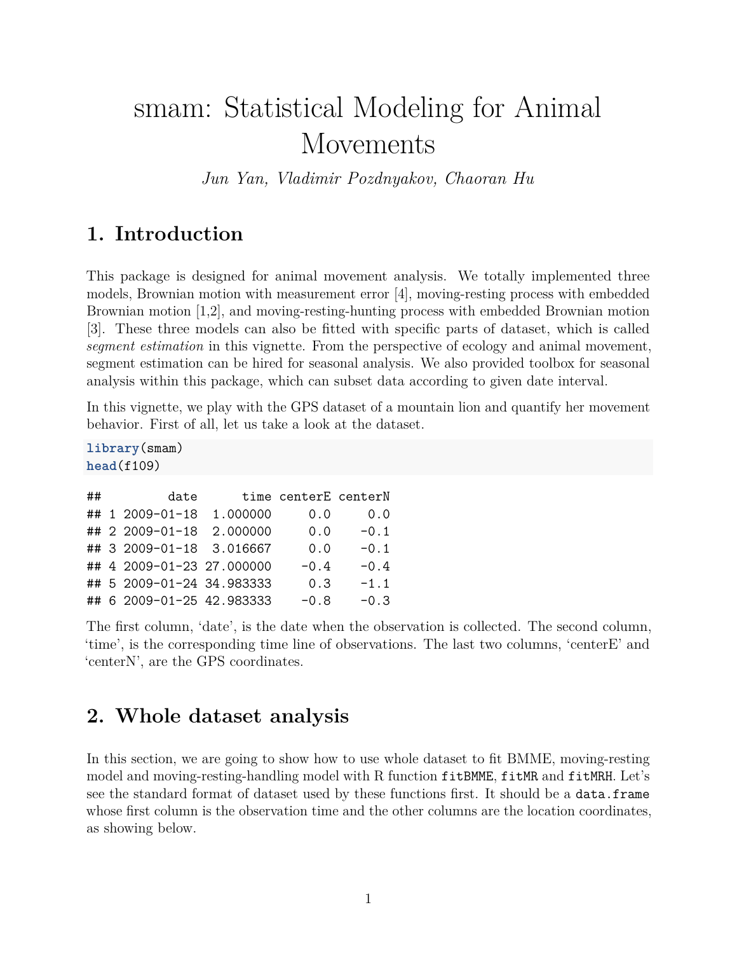# smam: Statistical Modeling for Animal Movements

*Jun Yan, Vladimir Pozdnyakov, Chaoran Hu*

## **1. Introduction**

This package is designed for animal movement analysis. We totally implemented three models, Brownian motion with measurement error [4], moving-resting process with embedded Brownian motion [1,2], and moving-resting-hunting process with embedded Brownian motion [3]. These three models can also be fitted with specific parts of dataset, which is called *segment estimation* in this vignette. From the perspective of ecology and animal movement, segment estimation can be hired for seasonal analysis. We also provided toolbox for seasonal analysis within this package, which can subset data according to given date interval.

In this vignette, we play with the GPS dataset of a mountain lion and quantify her movement behavior. First of all, let us take a look at the dataset.

**library**(smam) **head**(f109)

| ## | date                      |          | time centerE centerN |        |
|----|---------------------------|----------|----------------------|--------|
|    | ## 1 2009-01-18           | 1.000000 | 0.0                  | 0.0    |
|    | ## 2 2009-01-18           | 2.000000 | 0.0                  | $-0.1$ |
|    | ## 3 2009-01-18 3.016667  |          | 0.0                  | $-0.1$ |
|    | ## 4 2009-01-23 27.000000 |          | $-0.4$               | $-0.4$ |
|    | ## 5 2009-01-24 34.983333 |          | 0.3                  | $-1.1$ |
|    | ## 6 2009-01-25 42.983333 |          | $-0.8$               | $-0.3$ |

The first column, 'date', is the date when the observation is collected. The second column, 'time', is the corresponding time line of observations. The last two columns, 'centerE' and 'centerN', are the GPS coordinates.

## **2. Whole dataset analysis**

In this section, we are going to show how to use whole dataset to fit BMME, moving-resting model and moving-resting-handling model with R function fitBMME, fitMR and fitMRH. Let's see the standard format of dataset used by these functions first. It should be a data.frame whose first column is the observation time and the other columns are the location coordinates, as showing below.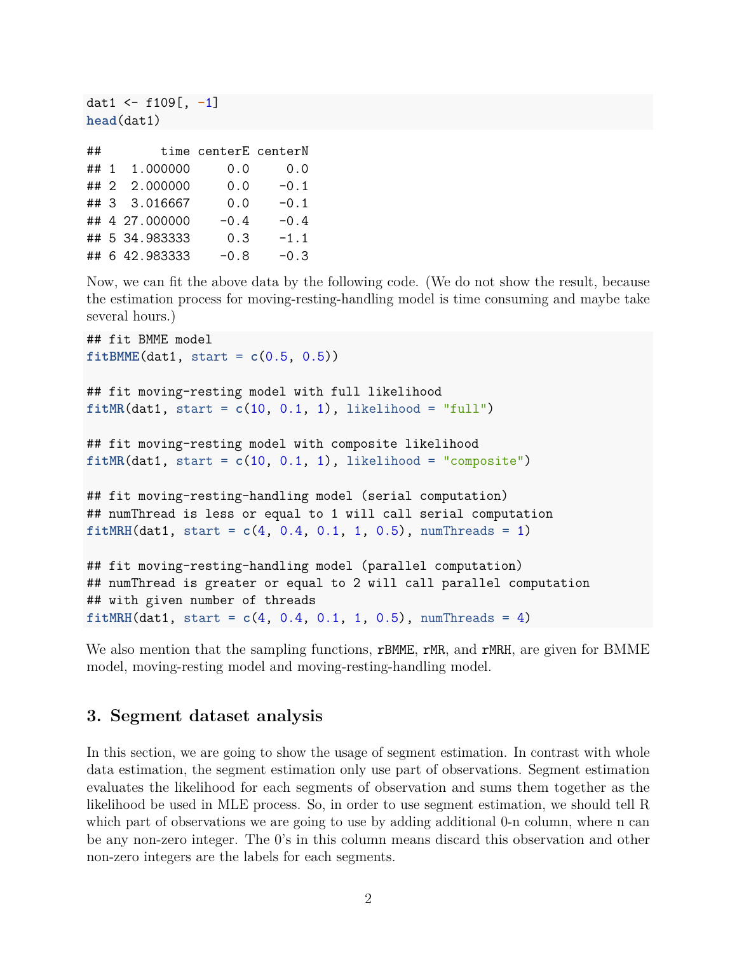```
dat1 <- f109[, -1]
head(dat1)
```

| ##   |                | time centerE centerN |        |
|------|----------------|----------------------|--------|
| ## 1 | 1.000000       | 0.0                  | 0.0    |
| ## 2 | 2.000000       | 0.0                  | $-0.1$ |
|      | ## 3 3.016667  | 0.0                  | $-0.1$ |
|      | ## 4 27.000000 | $-0.4$               | $-0.4$ |
|      | ## 5 34.983333 | 0.3                  | $-1.1$ |
|      | ## 6 42.983333 | $-0.8$               | $-0.3$ |

Now, we can fit the above data by the following code. (We do not show the result, because the estimation process for moving-resting-handling model is time consuming and maybe take several hours.)

```
## fit BMME model
fitBMME(dat1, start = c(0.5, 0.5))
## fit moving-resting model with full likelihood
fitMR(data1, start = c(10, 0.1, 1), likelihood = "full")## fit moving-resting model with composite likelihood
fitMR(data1, start = <math>c(10, 0.1, 1)</math>, likelihood = "composite")## fit moving-resting-handling model (serial computation)
## numThread is less or equal to 1 will call serial computation
fitMRH(data1, start = c(4, 0.4, 0.1, 1, 0.5), numThreads = 1)
## fit moving-resting-handling model (parallel computation)
## numThread is greater or equal to 2 will call parallel computation
## with given number of threads
```
 $fitMRH(data1, start =  $c(4, 0.4, 0.1, 1, 0.5)$ , numThreads = 4)$ 

We also mention that the sampling functions, rBMME, rMR, and rMRH, are given for BMME model, moving-resting model and moving-resting-handling model.

#### **3. Segment dataset analysis**

In this section, we are going to show the usage of segment estimation. In contrast with whole data estimation, the segment estimation only use part of observations. Segment estimation evaluates the likelihood for each segments of observation and sums them together as the likelihood be used in MLE process. So, in order to use segment estimation, we should tell R which part of observations we are going to use by adding additional 0-n column, where n can be any non-zero integer. The 0's in this column means discard this observation and other non-zero integers are the labels for each segments.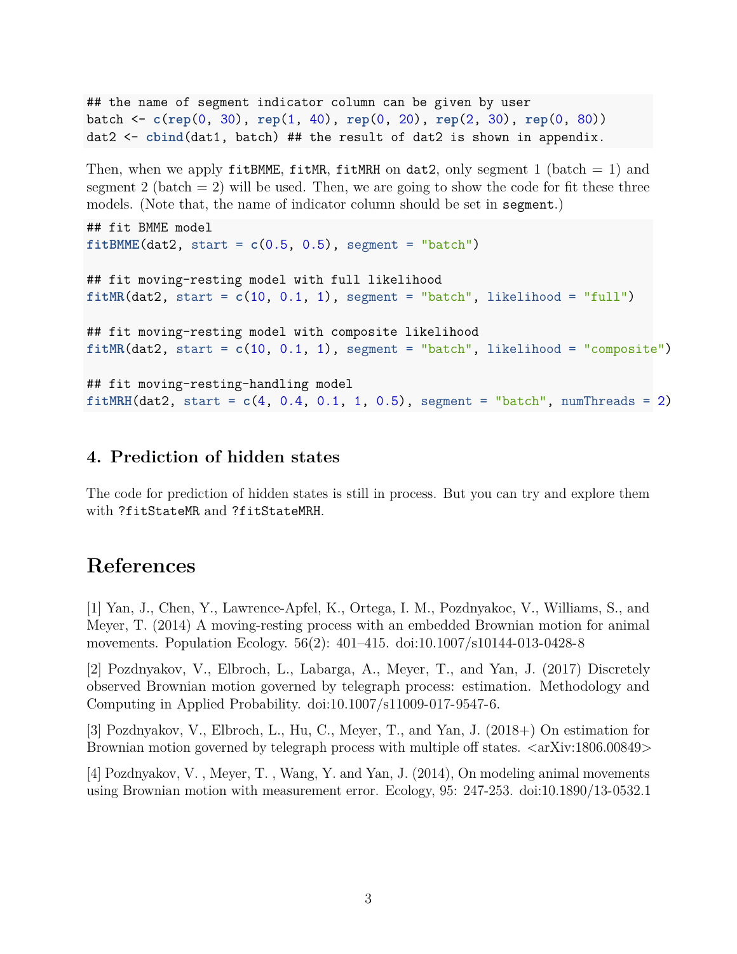## the name of segment indicator column can be given by user batch <- **c**(**rep**(0, 30), **rep**(1, 40), **rep**(0, 20), **rep**(2, 30), **rep**(0, 80)) dat2 <- **cbind**(dat1, batch) ## the result of dat2 is shown in appendix.

Then, when we apply fitBMME, fitMR, fitMRH on dat2, only segment 1 (batch  $= 1$ ) and segment 2 (batch  $= 2$ ) will be used. Then, we are going to show the code for fit these three models. (Note that, the name of indicator column should be set in segment.)

```
## fit BMME model
fitBMME(data, start = <math>c(0.5, 0.5)</math>, segment = "batch")## fit moving-resting model with full likelihood
fitMR(data2, start = c(10, 0.1, 1), segment = "batch", likelihood = "full")## fit moving-resting model with composite likelihood
fitMR(data2, start = <math>c(10, 0.1, 1)</math>, segment = "batch", likelihood = "composite")## fit moving-resting-handling model
fitMRH(dat2, start = c(4, 0.4, 0.1, 1, 0.5), segment = "batch", numThreads = 2)
```
#### **4. Prediction of hidden states**

The code for prediction of hidden states is still in process. But you can try and explore them with ?fitStateMR and ?fitStateMRH.

## **References**

[1] Yan, J., Chen, Y., Lawrence-Apfel, K., Ortega, I. M., Pozdnyakoc, V., Williams, S., and Meyer, T. (2014) A moving-resting process with an embedded Brownian motion for animal movements. Population Ecology. 56(2): 401–415.<doi:10.1007/s10144-013-0428-8>

[2] Pozdnyakov, V., Elbroch, L., Labarga, A., Meyer, T., and Yan, J. (2017) Discretely observed Brownian motion governed by telegraph process: estimation. Methodology and Computing in Applied Probability. [doi:10.1007/s11009-017-9547-6.](doi:10.1007/s11009-017-9547-6)

[3] Pozdnyakov, V., Elbroch, L., Hu, C., Meyer, T., and Yan, J. (2018+) On estimation for Brownian motion governed by telegraph process with multiple off states.  $\langle \text{arXiv:1806.00849}\rangle$ 

[4] Pozdnyakov, V. , Meyer, T. , Wang, Y. and Yan, J. (2014), On modeling animal movements using Brownian motion with measurement error. Ecology, 95: 247-253.<doi:10.1890/13-0532.1>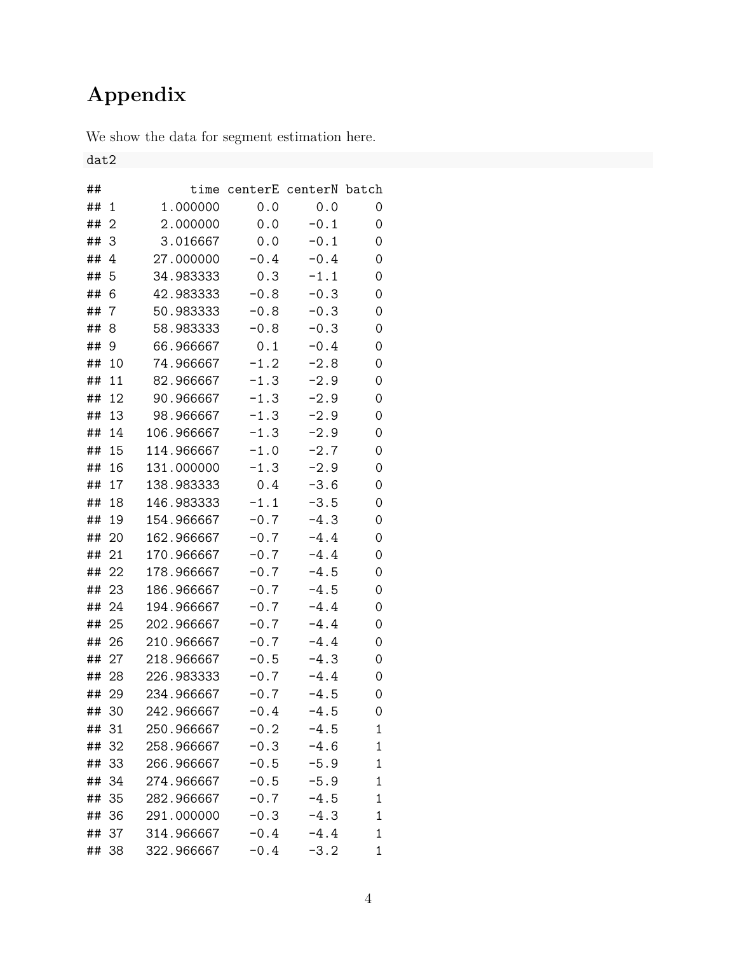## **Appendix**

We show the data for segment estimation here.

dat2

| ## |    | time       | centerE | centerN batch |   |
|----|----|------------|---------|---------------|---|
| ## | 1  | 1.000000   | 0.0     | 0.0           | 0 |
| ## | 2  | 2.000000   | 0.0     | $-0.1$        | 0 |
| ## | 3  | 3.016667   | 0.0     | $-0.1$        | 0 |
| ## | 4  | 27.000000  | $-0.4$  | $-0.4$        | 0 |
| ## | 5  | 34.983333  | 0.3     | $-1.1$        | 0 |
| ## | 6  | 42.983333  | $-0.8$  | $-0.3$        | 0 |
| ## | 7  | 50.983333  | $-0.8$  | $-0.3$        | 0 |
| ## | 8  | 58.983333  | $-0.8$  | $-0.3$        | 0 |
| ## | 9  | 66.966667  | 0.1     | $-0.4$        | 0 |
| ## | 10 | 74.966667  | $-1.2$  | $-2.8$        | 0 |
| ## | 11 | 82.966667  | $-1.3$  | $-2.9$        | 0 |
| ## | 12 | 90.966667  | $-1.3$  | $-2.9$        | 0 |
| ## | 13 | 98.966667  | $-1.3$  | $-2.9$        | 0 |
| ## | 14 | 106.966667 | $-1.3$  | $-2.9$        | 0 |
| ## | 15 | 114.966667 | $-1.0$  | $-2.7$        | 0 |
| ## | 16 | 131.000000 | $-1.3$  | $-2.9$        | 0 |
| ## | 17 | 138.983333 | 0.4     | $-3.6$        | 0 |
| ## | 18 | 146.983333 | $-1.1$  | $-3.5$        | 0 |
| ## | 19 | 154.966667 | $-0.7$  | $-4.3$        | 0 |
| ## | 20 | 162.966667 | $-0.7$  | $-4.4$        | 0 |
| ## | 21 | 170.966667 | $-0.7$  | $-4.4$        | 0 |
| ## | 22 | 178.966667 | $-0.7$  | $-4.5$        | 0 |
| ## | 23 | 186.966667 | $-0.7$  | $-4.5$        | 0 |
| ## | 24 | 194.966667 | $-0.7$  | $-4.4$        | 0 |
| ## | 25 | 202.966667 | $-0.7$  | $-4.4$        | 0 |
| ## | 26 | 210.966667 | $-0.7$  | $-4.4$        | 0 |
| ## | 27 | 218.966667 | $-0.5$  | $-4.3$        | 0 |
| ## | 28 | 226.983333 | $-0.7$  | $-4.4$        | 0 |
| ## | 29 | 234.966667 | $-0.7$  | $-4.5$        | 0 |
| ## | 30 | 242.966667 | $-0.4$  | $-4.5$        | 0 |
| ## | 31 | 250.966667 | $-0.2$  | $-4.5$        | 1 |
| ## | 32 | 258.966667 | $-0.3$  | $-4.6$        | 1 |
| ## | 33 | 266.966667 | $-0.5$  | $-5.9$        | 1 |
| ## | 34 | 274.966667 | $-0.5$  | $-5.9$        | 1 |
| ## | 35 | 282.966667 | $-0.7$  | $-4.5$        | 1 |
| ## | 36 | 291.000000 | $-0.3$  | $-4.3$        | 1 |
| ## | 37 | 314.966667 | $-0.4$  | $-4.4$        | 1 |
| ## | 38 | 322.966667 | $-0.4$  | $-3.2$        | 1 |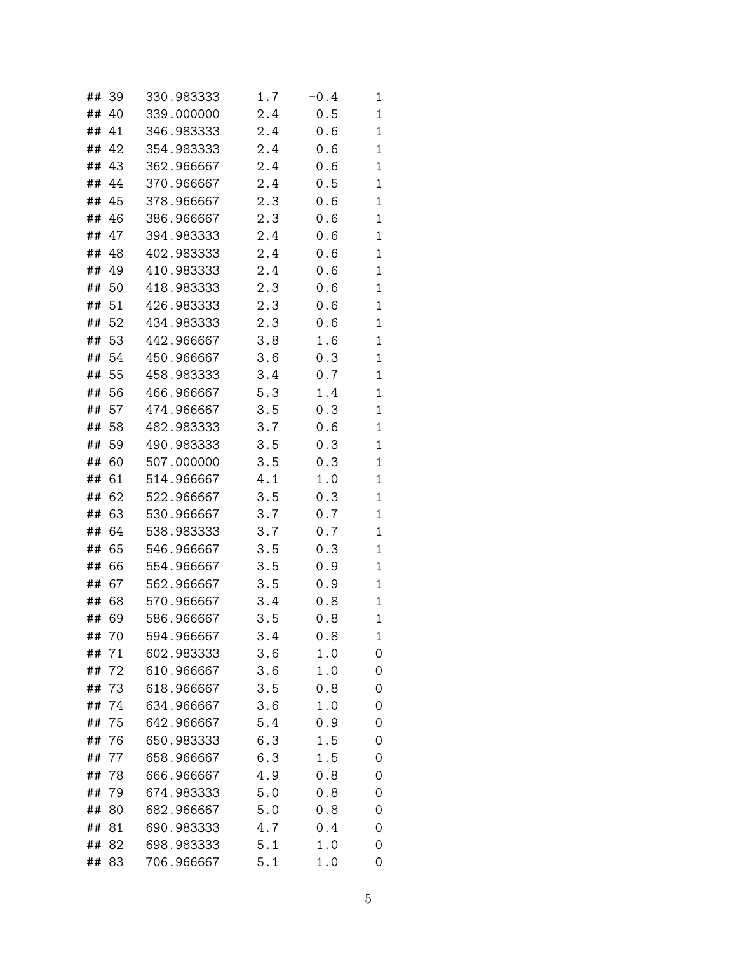| ## | 39    | 330.983333 | $1.7\,$ | $-0.4$ | 1            |
|----|-------|------------|---------|--------|--------------|
| ## | 40    | 339.000000 | 2.4     | 0.5    | 1            |
| ## | 41    | 346.983333 | 2.4     | 0.6    | $\mathbf{1}$ |
| ## | 42    | 354.983333 | 2.4     | 0.6    | $\mathbf{1}$ |
| ## | 43    | 362.966667 | 2.4     | 0.6    | 1            |
| ## | 44    | 370.966667 | 2.4     | 0.5    | 1            |
| ## | 45    | 378.966667 | 2.3     | 0.6    | 1            |
| ## | 46    | 386.966667 | 2.3     | 0.6    | 1            |
| ## | 47    | 394.983333 | 2.4     | 0.6    | 1            |
| ## | 48    | 402.983333 | 2.4     | 0.6    | $\mathbf{1}$ |
| ## | 49    | 410.983333 | 2.4     | 0.6    | 1            |
| ## | 50    | 418.983333 | 2.3     | 0.6    | 1            |
| ## | 51    | 426.983333 | 2.3     | 0.6    | 1            |
| ## | 52    | 434.983333 | 2.3     | 0.6    | 1            |
| ## | 53    | 442.966667 | 3.8     | 1.6    | $\mathbf{1}$ |
|    | ## 54 | 450.966667 | 3.6     | 0.3    | 1            |
| ## | 55    | 458.983333 | 3.4     | 0.7    | 1            |
|    | ## 56 | 466.966667 | 5.3     | 1.4    | 1            |
| ## | 57    | 474.966667 | 3.5     | 0.3    | 1            |
| ## | 58    | 482.983333 | 3.7     | 0.6    | 1            |
| ## | 59    | 490.983333 | 3.5     | 0.3    | 1            |
| ## | 60    | 507.000000 | 3.5     | 0.3    | 1            |
| ## | 61    | 514.966667 | 4.1     | 1.0    | 1            |
| ## | 62    | 522.966667 | 3.5     | 0.3    | 1            |
| ## | 63    | 530.966667 | 3.7     | 0.7    | 1            |
| ## | 64    | 538.983333 | 3.7     | 0.7    | $\mathbf{1}$ |
| ## | 65    | 546.966667 | 3.5     | 0.3    | 1            |
| ## | 66    | 554.966667 | 3.5     | 0.9    | 1            |
| ## | 67    | 562.966667 | 3.5     | 0.9    | 1            |
| ## | 68    | 570.966667 | 3.4     | 0.8    | 1            |
| ## | 69    | 586.966667 | 3.5     | 0.8    | 1            |
| ## | 70    | 594.966667 | 3.4     | 0.8    | 1            |
| ## | 71    | 602.983333 | 3.6     | 1.0    | 0            |
| ## | 72    | 610.966667 | 3.6     | 1.0    | 0            |
| ## | 73    | 618.966667 | 3.5     | 0.8    | 0            |
| ## | 74    | 634.966667 | 3.6     | 1.0    | 0            |
| ## | 75    | 642.966667 | 5.4     | 0.9    | 0            |
| ## | 76    | 650.983333 | 6.3     | 1.5    | 0            |
| ## | 77    | 658.966667 | 6.3     | 1.5    | 0            |
| ## | 78    | 666.966667 | 4.9     | 0.8    | 0            |
| ## | 79    | 674.983333 | 5.0     | 0.8    | 0            |
| ## | 80    | 682.966667 | 5.0     | 0.8    | 0            |
| ## | 81    | 690.983333 | 4.7     | 0.4    | 0            |
| ## | 82    | 698.983333 | 5.1     | 1.0    | 0            |
| ## | 83    | 706.966667 | 5.1     | 1.0    | 0            |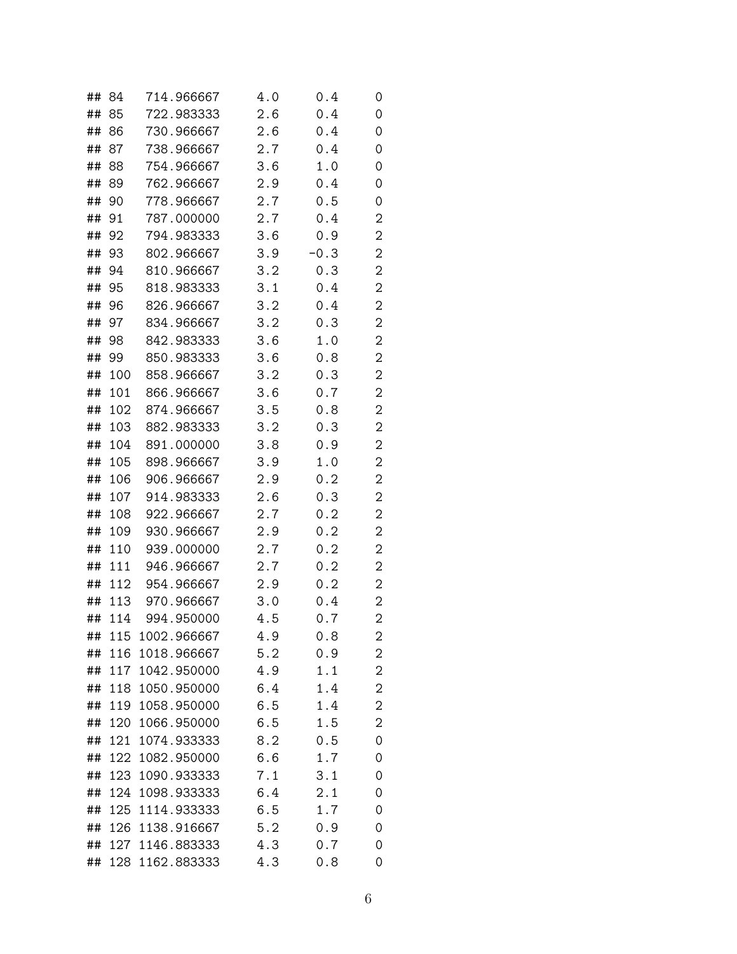| ## | 84  | 714.966667      | 4.0 | 0.4    | 0 |
|----|-----|-----------------|-----|--------|---|
| ## | 85  | 722.983333      | 2.6 | 0.4    | 0 |
| ## | 86  | 730.966667      | 2.6 | 0.4    | 0 |
| ## | 87  | 738.966667      | 2.7 | 0.4    | 0 |
| ## | 88  | 754.966667      | 3.6 | 1.0    | 0 |
| ## | 89  | 762.966667      | 2.9 | 0.4    | 0 |
| ## | 90  | 778.966667      | 2.7 | 0.5    | 0 |
| ## | 91  | 787.000000      | 2.7 | 0.4    | 2 |
| ## | 92  | 794.983333      | 3.6 | 0.9    | 2 |
| ## | 93  | 802.966667      | 3.9 | $-0.3$ | 2 |
| ## | 94  | 810.966667      | 3.2 | 0.3    | 2 |
| ## | 95  | 818.983333      | 3.1 | 0.4    | 2 |
| ## | 96  | 826.966667      | 3.2 | 0.4    | 2 |
| ## | 97  | 834.966667      | 3.2 | 0.3    | 2 |
| ## | 98  | 842.983333      | 3.6 | 1.0    | 2 |
| ## | 99  | 850.983333      | 3.6 | 0.8    | 2 |
| ## | 100 | 858.966667      | 3.2 | 0.3    | 2 |
| ## | 101 | 866.966667      | 3.6 | 0.7    | 2 |
| ## | 102 | 874.966667      | 3.5 | 0.8    | 2 |
| ## | 103 | 882.983333      | 3.2 | 0.3    | 2 |
| ## | 104 | 891.000000      | 3.8 | 0.9    | 2 |
| ## | 105 | 898.966667      | 3.9 | 1.0    | 2 |
| ## | 106 | 906.966667      | 2.9 | 0.2    | 2 |
| ## | 107 | 914.983333      | 2.6 | 0.3    | 2 |
| ## | 108 | 922.966667      | 2.7 | 0.2    | 2 |
| ## | 109 | 930.966667      | 2.9 | 0.2    | 2 |
| ## | 110 | 939.000000      | 2.7 | 0.2    | 2 |
| ## | 111 | 946.966667      | 2.7 | 0.2    | 2 |
| ## | 112 | 954.966667      | 2.9 | 0.2    | 2 |
| ## | 113 | 970.966667      | 3.0 | 0.4    | 2 |
| ## | 114 | 994.950000      | 4.5 | 0.7    | 2 |
| ## | 115 | 1002.966667     | 4.9 | 0.8    | 2 |
| ## | 116 | 1018.966667     | 5.2 | 0.9    | 2 |
| ## | 117 | 1042.950000     | 4.9 | 1.1    | 2 |
| ## | 118 | 1050.950000     | 6.4 | 1.4    | 2 |
| ## |     | 119 1058.950000 | 6.5 | 1.4    | 2 |
| ## | 120 | 1066.950000     | 6.5 | 1.5    | 2 |
| ## | 121 | 1074.933333     | 8.2 | 0.5    | 0 |
| ## | 122 | 1082.950000     | 6.6 | 1.7    | 0 |
| ## | 123 | 1090.933333     | 7.1 | 3.1    | 0 |
| ## | 124 | 1098.933333     | 6.4 | 2.1    | 0 |
| ## | 125 | 1114.933333     | 6.5 | 1.7    | 0 |
| ## | 126 | 1138.916667     | 5.2 | 0.9    | 0 |
| ## | 127 | 1146.883333     | 4.3 | 0.7    | 0 |
| ## |     | 128 1162.883333 | 4.3 | 0.8    | 0 |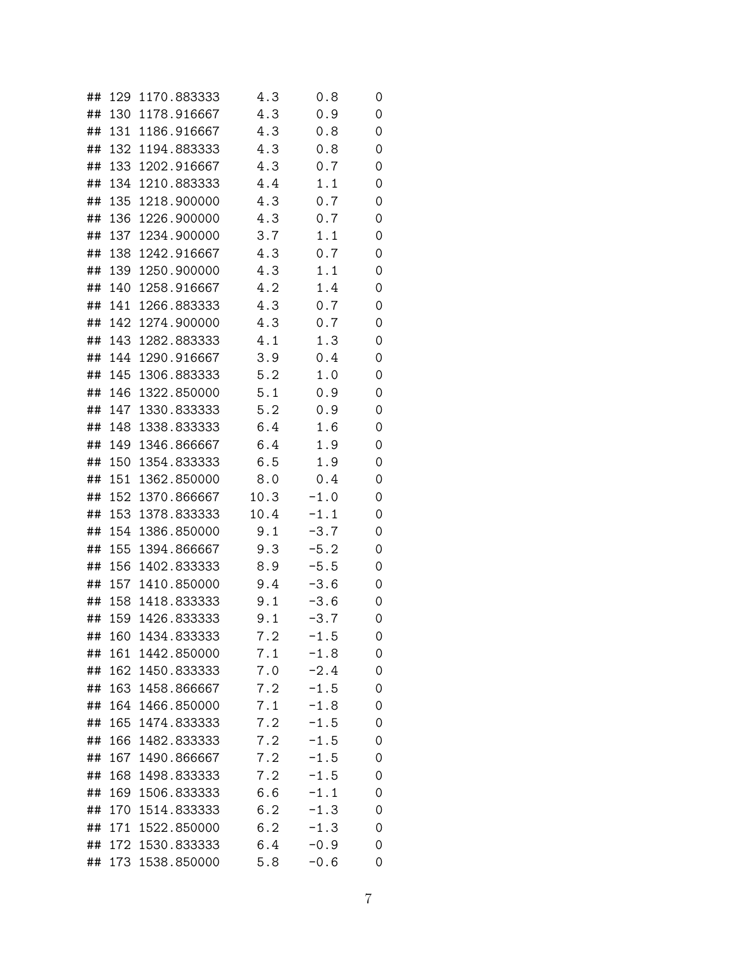| ## | 129 | 1170.883333     | 4.3  | 0.8    | 0 |
|----|-----|-----------------|------|--------|---|
| ## |     | 130 1178.916667 | 4.3  | 0.9    | 0 |
| ## |     | 131 1186.916667 | 4.3  | 0.8    | 0 |
| ## |     | 132 1194.883333 | 4.3  | 0.8    | 0 |
| ## | 133 | 1202.916667     | 4.3  | 0.7    | 0 |
| ## | 134 | 1210.883333     | 4.4  | 1.1    | 0 |
| ## | 135 | 1218.900000     | 4.3  | 0.7    | 0 |
| ## |     | 136 1226.900000 | 4.3  | 0.7    | 0 |
| ## | 137 | 1234.900000     | 3.7  | 1.1    | 0 |
| ## | 138 | 1242.916667     | 4.3  | 0.7    | 0 |
| ## | 139 | 1250.900000     | 4.3  | 1.1    | 0 |
| ## | 140 | 1258.916667     | 4.2  | 1.4    | 0 |
| ## | 141 | 1266.883333     | 4.3  | 0.7    | 0 |
| ## | 142 | 1274.900000     | 4.3  | 0.7    | 0 |
| ## | 143 | 1282.883333     | 4.1  | 1.3    | 0 |
| ## | 144 | 1290.916667     | 3.9  | 0.4    | 0 |
| ## | 145 | 1306.883333     | 5.2  | 1.0    | 0 |
| ## | 146 | 1322.850000     | 5.1  | 0.9    | 0 |
| ## | 147 | 1330.833333     | 5.2  | 0.9    | 0 |
| ## | 148 | 1338.833333     | 6.4  | 1.6    | 0 |
| ## | 149 | 1346.866667     | 6.4  | 1.9    | 0 |
| ## | 150 | 1354.833333     | 6.5  | 1.9    | 0 |
| ## | 151 | 1362.850000     | 8.0  | 0.4    | 0 |
| ## | 152 | 1370.866667     | 10.3 | $-1.0$ | 0 |
| ## | 153 | 1378.833333     | 10.4 | $-1.1$ | 0 |
| ## |     | 154 1386.850000 | 9.1  | $-3.7$ | 0 |
| ## | 155 | 1394.866667     | 9.3  | $-5.2$ | 0 |
| ## | 156 | 1402.833333     | 8.9  | $-5.5$ | 0 |
| ## | 157 | 1410.850000     | 9.4  | $-3.6$ | 0 |
| ## | 158 | 1418.833333     | 9.1  | $-3.6$ | 0 |
| ## | 159 | 1426.833333     | 9.1  | $-3.7$ | 0 |
| ## | 160 | 1434.833333     | 7.2  | $-1.5$ | 0 |
| ## | 161 | 1442.850000     | 7.1  | $-1.8$ | 0 |
| ## | 162 | 1450.833333     | 7.0  | $-2.4$ | 0 |
| ## |     | 163 1458.866667 | 7.2  | $-1.5$ | 0 |
| ## |     | 164 1466.850000 | 7.1  | $-1.8$ | 0 |
| ## | 165 | 1474.833333     | 7.2  | $-1.5$ | 0 |
| ## | 166 | 1482.833333     | 7.2  | $-1.5$ | 0 |
| ## | 167 | 1490.866667     | 7.2  | $-1.5$ | 0 |
| ## | 168 | 1498.833333     | 7.2  | $-1.5$ | 0 |
| ## | 169 | 1506.833333     | 6.6  | $-1.1$ | 0 |
| ## | 170 | 1514.833333     | 6.2  | $-1.3$ | 0 |
| ## | 171 | 1522.850000     | 6.2  | $-1.3$ | 0 |
| ## | 172 | 1530.833333     | 6.4  | $-0.9$ | 0 |
| ## |     | 173 1538.850000 | 5.8  | $-0.6$ | 0 |